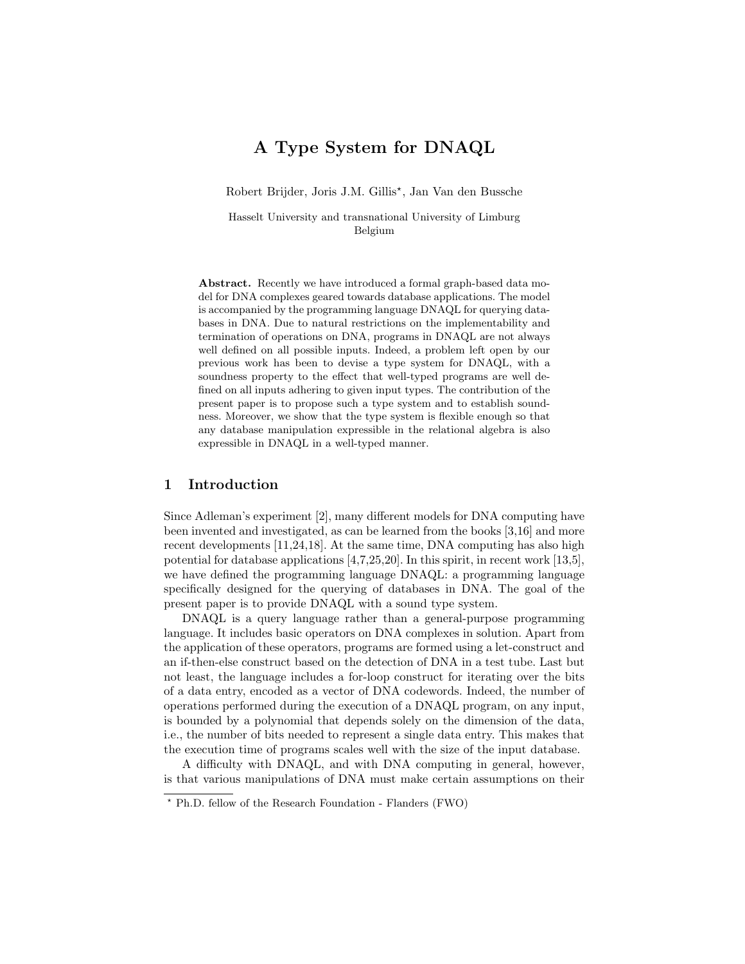# A Type System for DNAQL

Robert Brijder, Joris J.M. Gillis? , Jan Van den Bussche

Hasselt University and transnational University of Limburg Belgium

Abstract. Recently we have introduced a formal graph-based data model for DNA complexes geared towards database applications. The model is accompanied by the programming language DNAQL for querying databases in DNA. Due to natural restrictions on the implementability and termination of operations on DNA, programs in DNAQL are not always well defined on all possible inputs. Indeed, a problem left open by our previous work has been to devise a type system for DNAQL, with a soundness property to the effect that well-typed programs are well defined on all inputs adhering to given input types. The contribution of the present paper is to propose such a type system and to establish soundness. Moreover, we show that the type system is flexible enough so that any database manipulation expressible in the relational algebra is also expressible in DNAQL in a well-typed manner.

### 1 Introduction

Since Adleman's experiment [2], many different models for DNA computing have been invented and investigated, as can be learned from the books [3,16] and more recent developments [11,24,18]. At the same time, DNA computing has also high potential for database applications [4,7,25,20]. In this spirit, in recent work [13,5], we have defined the programming language DNAQL: a programming language specifically designed for the querying of databases in DNA. The goal of the present paper is to provide DNAQL with a sound type system.

DNAQL is a query language rather than a general-purpose programming language. It includes basic operators on DNA complexes in solution. Apart from the application of these operators, programs are formed using a let-construct and an if-then-else construct based on the detection of DNA in a test tube. Last but not least, the language includes a for-loop construct for iterating over the bits of a data entry, encoded as a vector of DNA codewords. Indeed, the number of operations performed during the execution of a DNAQL program, on any input, is bounded by a polynomial that depends solely on the dimension of the data, i.e., the number of bits needed to represent a single data entry. This makes that the execution time of programs scales well with the size of the input database.

A difficulty with DNAQL, and with DNA computing in general, however, is that various manipulations of DNA must make certain assumptions on their

<sup>?</sup> Ph.D. fellow of the Research Foundation - Flanders (FWO)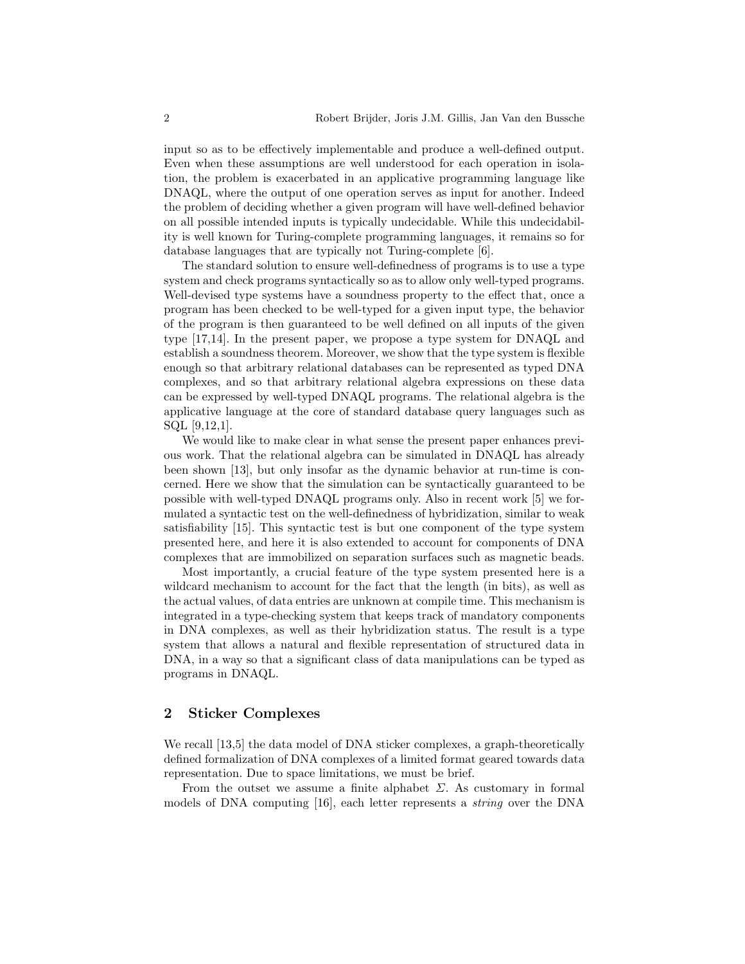input so as to be effectively implementable and produce a well-defined output. Even when these assumptions are well understood for each operation in isolation, the problem is exacerbated in an applicative programming language like DNAQL, where the output of one operation serves as input for another. Indeed the problem of deciding whether a given program will have well-defined behavior on all possible intended inputs is typically undecidable. While this undecidability is well known for Turing-complete programming languages, it remains so for database languages that are typically not Turing-complete [6].

The standard solution to ensure well-definedness of programs is to use a type system and check programs syntactically so as to allow only well-typed programs. Well-devised type systems have a soundness property to the effect that, once a program has been checked to be well-typed for a given input type, the behavior of the program is then guaranteed to be well defined on all inputs of the given type [17,14]. In the present paper, we propose a type system for DNAQL and establish a soundness theorem. Moreover, we show that the type system is flexible enough so that arbitrary relational databases can be represented as typed DNA complexes, and so that arbitrary relational algebra expressions on these data can be expressed by well-typed DNAQL programs. The relational algebra is the applicative language at the core of standard database query languages such as SQL [9,12,1].

We would like to make clear in what sense the present paper enhances previous work. That the relational algebra can be simulated in DNAQL has already been shown [13], but only insofar as the dynamic behavior at run-time is concerned. Here we show that the simulation can be syntactically guaranteed to be possible with well-typed DNAQL programs only. Also in recent work [5] we formulated a syntactic test on the well-definedness of hybridization, similar to weak satisfiability [15]. This syntactic test is but one component of the type system presented here, and here it is also extended to account for components of DNA complexes that are immobilized on separation surfaces such as magnetic beads.

Most importantly, a crucial feature of the type system presented here is a wildcard mechanism to account for the fact that the length (in bits), as well as the actual values, of data entries are unknown at compile time. This mechanism is integrated in a type-checking system that keeps track of mandatory components in DNA complexes, as well as their hybridization status. The result is a type system that allows a natural and flexible representation of structured data in DNA, in a way so that a significant class of data manipulations can be typed as programs in DNAQL.

### 2 Sticker Complexes

We recall [13,5] the data model of DNA sticker complexes, a graph-theoretically defined formalization of DNA complexes of a limited format geared towards data representation. Due to space limitations, we must be brief.

From the outset we assume a finite alphabet  $\Sigma$ . As customary in formal models of DNA computing [16], each letter represents a string over the DNA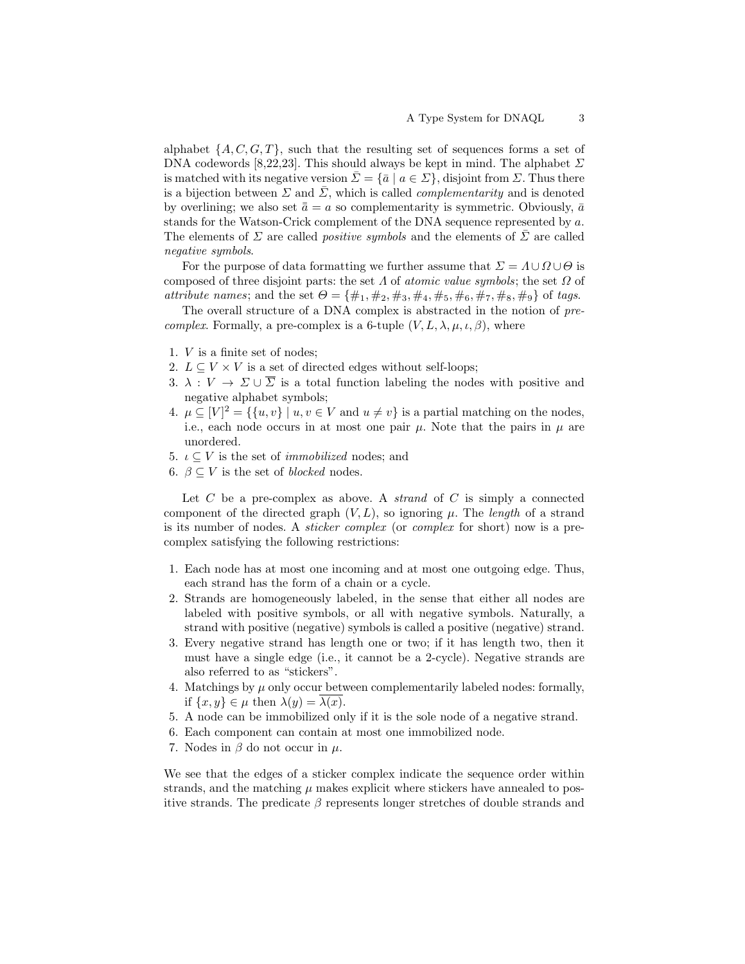alphabet  $\{A, C, G, T\}$ , such that the resulting set of sequences forms a set of DNA codewords [8,22,23]. This should always be kept in mind. The alphabet  $\Sigma$ is matched with its negative version  $\Sigma = \{\bar{a} \mid a \in \Sigma\}$ , disjoint from  $\Sigma$ . Thus there is a bijection between  $\Sigma$  and  $\overline{\Sigma}$ , which is called *complementarity* and is denoted by overlining; we also set  $\bar{a} = a$  so complementarity is symmetric. Obviously,  $\bar{a}$ stands for the Watson-Crick complement of the DNA sequence represented by a. The elements of  $\Sigma$  are called *positive symbols* and the elements of  $\Sigma$  are called negative symbols.

For the purpose of data formatting we further assume that  $\Sigma = \Lambda \cup \Omega \cup \Theta$  is composed of three disjoint parts: the set  $\Lambda$  of atomic value symbols; the set  $\Omega$  of attribute names; and the set  $\Theta = {\{\#_1, \#_2, \#_3, \#_4, \#_5, \#_6, \#_7, \#_8, \#_9\}}$  of tags.

The overall structure of a DNA complex is abstracted in the notion of pre*complex.* Formally, a pre-complex is a 6-tuple  $(V, L, \lambda, \mu, \iota, \beta)$ , where

- 1. V is a finite set of nodes;
- 2.  $L \subseteq V \times V$  is a set of directed edges without self-loops;
- 3.  $\lambda: V \to \Sigma \cup \overline{\Sigma}$  is a total function labeling the nodes with positive and negative alphabet symbols;
- 4.  $\mu \subseteq [V]^2 = \{\{u, v\} \mid u, v \in V \text{ and } u \neq v\}$  is a partial matching on the nodes, i.e., each node occurs in at most one pair  $\mu$ . Note that the pairs in  $\mu$  are unordered.
- 5.  $\iota \subseteq V$  is the set of *immobilized* nodes; and
- 6.  $\beta \subset V$  is the set of blocked nodes.

Let  $C$  be a pre-complex as above. A *strand* of  $C$  is simply a connected component of the directed graph  $(V, L)$ , so ignoring  $\mu$ . The length of a strand is its number of nodes. A sticker complex (or complex for short) now is a precomplex satisfying the following restrictions:

- 1. Each node has at most one incoming and at most one outgoing edge. Thus, each strand has the form of a chain or a cycle.
- 2. Strands are homogeneously labeled, in the sense that either all nodes are labeled with positive symbols, or all with negative symbols. Naturally, a strand with positive (negative) symbols is called a positive (negative) strand.
- 3. Every negative strand has length one or two; if it has length two, then it must have a single edge (i.e., it cannot be a 2-cycle). Negative strands are also referred to as "stickers".
- 4. Matchings by  $\mu$  only occur between complementarily labeled nodes: formally, if  $\{x, y\} \in \mu$  then  $\lambda(y) = \overline{\lambda(x)}$ .
- 5. A node can be immobilized only if it is the sole node of a negative strand.
- 6. Each component can contain at most one immobilized node.
- 7. Nodes in  $\beta$  do not occur in  $\mu$ .

We see that the edges of a sticker complex indicate the sequence order within strands, and the matching  $\mu$  makes explicit where stickers have annealed to positive strands. The predicate  $\beta$  represents longer stretches of double strands and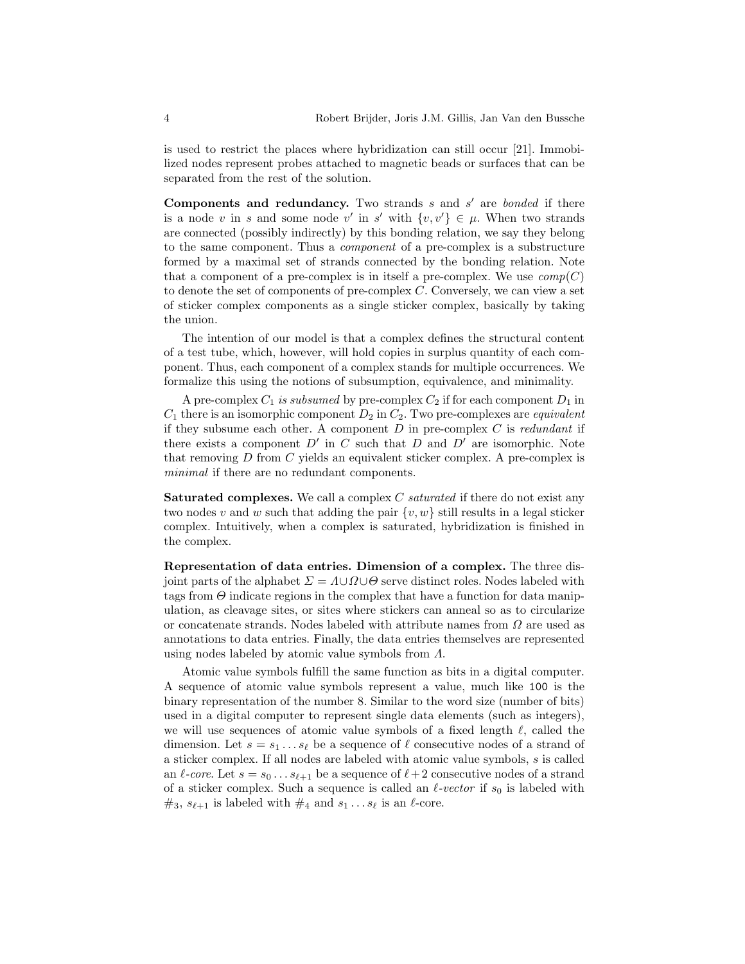is used to restrict the places where hybridization can still occur [21]. Immobilized nodes represent probes attached to magnetic beads or surfaces that can be separated from the rest of the solution.

Components and redundancy. Two strands  $s$  and  $s'$  are bonded if there is a node v in s and some node v' in s' with  $\{v, v'\} \in \mu$ . When two strands are connected (possibly indirectly) by this bonding relation, we say they belong to the same component. Thus a component of a pre-complex is a substructure formed by a maximal set of strands connected by the bonding relation. Note that a component of a pre-complex is in itself a pre-complex. We use  $comp(C)$ to denote the set of components of pre-complex  $C$ . Conversely, we can view a set of sticker complex components as a single sticker complex, basically by taking the union.

The intention of our model is that a complex defines the structural content of a test tube, which, however, will hold copies in surplus quantity of each component. Thus, each component of a complex stands for multiple occurrences. We formalize this using the notions of subsumption, equivalence, and minimality.

A pre-complex  $C_1$  is subsumed by pre-complex  $C_2$  if for each component  $D_1$  in  $C_1$  there is an isomorphic component  $D_2$  in  $C_2$ . Two pre-complexes are *equivalent* if they subsume each other. A component  $D$  in pre-complex  $C$  is *redundant* if there exists a component  $D'$  in C such that D and  $D'$  are isomorphic. Note that removing D from C yields an equivalent sticker complex. A pre-complex is minimal if there are no redundant components.

**Saturated complexes.** We call a complex  $C$  *saturated* if there do not exist any two nodes v and w such that adding the pair  $\{v, w\}$  still results in a legal sticker complex. Intuitively, when a complex is saturated, hybridization is finished in the complex.

Representation of data entries. Dimension of a complex. The three disjoint parts of the alphabet  $\Sigma = \Lambda \cup \Omega \cup \Theta$  serve distinct roles. Nodes labeled with tags from  $\Theta$  indicate regions in the complex that have a function for data manipulation, as cleavage sites, or sites where stickers can anneal so as to circularize or concatenate strands. Nodes labeled with attribute names from  $\Omega$  are used as annotations to data entries. Finally, the data entries themselves are represented using nodes labeled by atomic value symbols from Λ.

Atomic value symbols fulfill the same function as bits in a digital computer. A sequence of atomic value symbols represent a value, much like 100 is the binary representation of the number 8. Similar to the word size (number of bits) used in a digital computer to represent single data elements (such as integers), we will use sequences of atomic value symbols of a fixed length  $\ell$ , called the dimension. Let  $s = s_1 \ldots s_\ell$  be a sequence of  $\ell$  consecutive nodes of a strand of a sticker complex. If all nodes are labeled with atomic value symbols, s is called an  $\ell$ -core. Let  $s = s_0 \ldots s_{\ell+1}$  be a sequence of  $\ell + 2$  consecutive nodes of a strand of a sticker complex. Such a sequence is called an  $\ell$ -vector if  $s_0$  is labeled with  $\#_3$ ,  $s_{\ell+1}$  is labeled with  $\#_4$  and  $s_1 \ldots s_{\ell}$  is an  $\ell$ -core.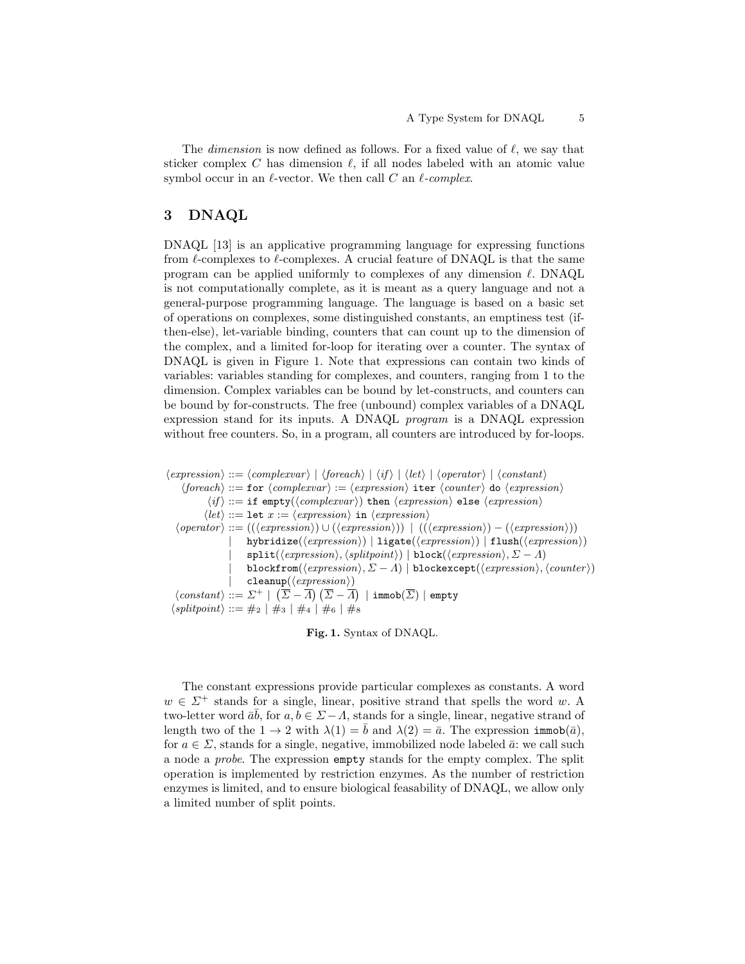The *dimension* is now defined as follows. For a fixed value of  $\ell$ , we say that sticker complex C has dimension  $\ell$ , if all nodes labeled with an atomic value symbol occur in an  $\ell$ -vector. We then call C an  $\ell$ -complex.

### 3 DNAQL

DNAQL [13] is an applicative programming language for expressing functions from  $\ell$ -complexes to  $\ell$ -complexes. A crucial feature of DNAQL is that the same program can be applied uniformly to complexes of any dimension  $\ell$ . DNAQL is not computationally complete, as it is meant as a query language and not a general-purpose programming language. The language is based on a basic set of operations on complexes, some distinguished constants, an emptiness test (ifthen-else), let-variable binding, counters that can count up to the dimension of the complex, and a limited for-loop for iterating over a counter. The syntax of DNAQL is given in Figure 1. Note that expressions can contain two kinds of variables: variables standing for complexes, and counters, ranging from 1 to the dimension. Complex variables can be bound by let-constructs, and counters can be bound by for-constructs. The free (unbound) complex variables of a DNAQL expression stand for its inputs. A DNAQL program is a DNAQL expression without free counters. So, in a program, all counters are introduced by for-loops.

 $\langle expression \rangle ::= \langle complexvar \rangle | \langle for each \rangle | \langle if \rangle | \langle let \rangle | \langle operator \rangle | \langle constant \rangle$  $\langle for each \rangle ::=$  for  $\langle complexvar \rangle := \langle expression \rangle$  iter  $\langle counter \rangle$  do  $\langle expression \rangle$  $\langle if \rangle ::= \texttt{if empty}(\langle complexvar \rangle) \text{ then } \langle expression \rangle \text{ else } \langle expression \rangle$  $\langle let \rangle ::= \texttt{let } x := \langle expression \rangle \text{ in } \langle expression \rangle$  $\langle operator \rangle ::= ((\langle expression \rangle) \cup (\langle expression \rangle)) | ((\langle expression \rangle) - (\langle expression \rangle))$  $h$ ybridize $(\langle expression \rangle)$  | ligate $(\langle expression \rangle)$  | flush $(\langle expression \rangle)$  $split(\langle expression \rangle, \langle split point \rangle) | block(\langle expression \rangle, \Sigma - A)$  $\text{blockfrom}(\langle expression \rangle, \Sigma - A) \mid \text{blockexcept}(\langle expression \rangle, \langle counter \rangle)$  $\texttt{cleanup}(\langle expression \rangle)$  $\langle constant \rangle ::= \varSigma^+ \,\, \mid\, (\overline{\varSigma} - \overline{A}) \ (\overline{\varSigma} - \overline{A}) \,\, \mid \, \texttt{immob}(\overline{\varSigma}) \mid \texttt{empty}$  $\langle split point \rangle ::= \#_2 | \#_3 | \#_4 | \#_6 | \#_8$ 

Fig. 1. Syntax of DNAQL.

The constant expressions provide particular complexes as constants. A word  $w \in \Sigma^+$  stands for a single, linear, positive strand that spells the word w. A two-letter word  $\bar{a}\bar{b}$ , for  $a, b \in \Sigma - \Lambda$ , stands for a single, linear, negative strand of length two of the  $1 \to 2$  with  $\lambda(1) = \bar{b}$  and  $\lambda(2) = \bar{a}$ . The expression immob( $\bar{a}$ ), for  $a \in \Sigma$ , stands for a single, negative, immobilized node labeled  $\bar{a}$ : we call such a node a probe. The expression empty stands for the empty complex. The split operation is implemented by restriction enzymes. As the number of restriction enzymes is limited, and to ensure biological feasability of DNAQL, we allow only a limited number of split points.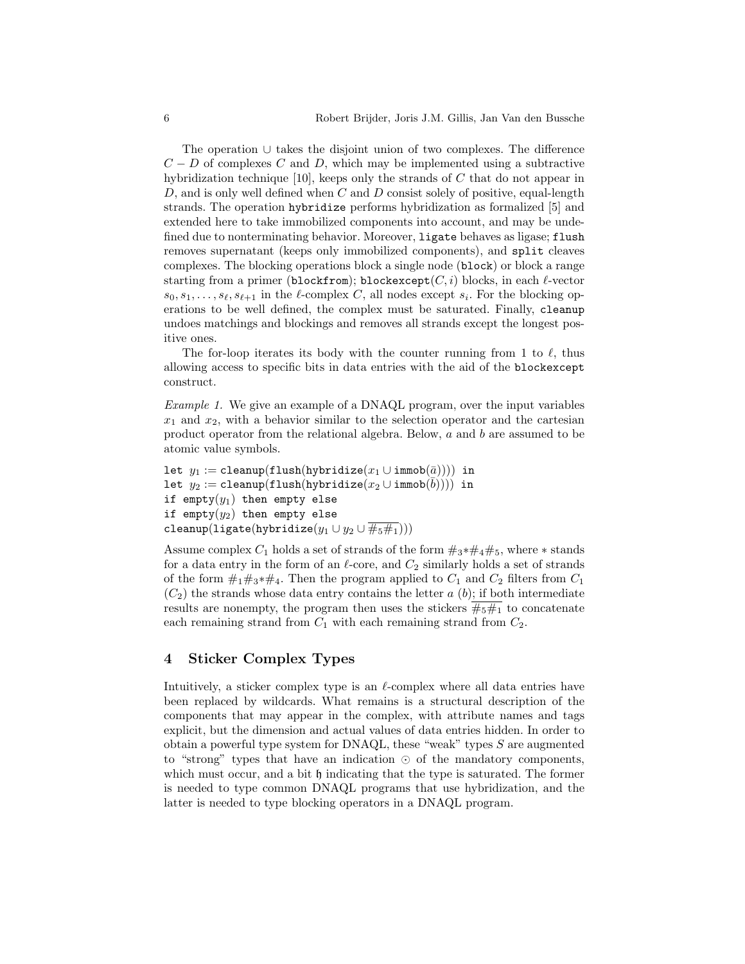The operation ∪ takes the disjoint union of two complexes. The difference  $C - D$  of complexes C and D, which may be implemented using a subtractive hybridization technique [10], keeps only the strands of C that do not appear in  $D$ , and is only well defined when  $C$  and  $D$  consist solely of positive, equal-length strands. The operation hybridize performs hybridization as formalized [5] and extended here to take immobilized components into account, and may be undefined due to nonterminating behavior. Moreover, ligate behaves as ligase; flush removes supernatant (keeps only immobilized components), and split cleaves complexes. The blocking operations block a single node (block) or block a range starting from a primer (blockfrom); blockexcept $(C, i)$  blocks, in each  $\ell$ -vector  $s_0, s_1, \ldots, s_\ell, s_{\ell+1}$  in the  $\ell$ -complex C, all nodes except  $s_i$ . For the blocking operations to be well defined, the complex must be saturated. Finally, cleanup undoes matchings and blockings and removes all strands except the longest positive ones.

The for-loop iterates its body with the counter running from 1 to  $\ell$ , thus allowing access to specific bits in data entries with the aid of the blockexcept construct.

Example 1. We give an example of a DNAQL program, over the input variables  $x_1$  and  $x_2$ , with a behavior similar to the selection operator and the cartesian product operator from the relational algebra. Below, a and b are assumed to be atomic value symbols.

```
let y_1 := \text{cleanup}(\text{float}(hybridize(x_1 \cup \text{immob}(\bar{a})))) in
let y_2 := \texttt{cleanup}(\texttt{flush}(\texttt{hybridize}(x_2 \cup \texttt{immob}(\overline{b})))) in
if empty(y_1) then empty else
if empty(y_2) then empty else
cleanup(ligate(hybridize(y_1 \cup y_2 \cup \overline{\#_5\#_1})))
```
Assume complex  $C_1$  holds a set of strands of the form  $\#_3 * \#_4 \#_5$ , where  $*$  stands for a data entry in the form of an  $\ell$ -core, and  $C_2$  similarly holds a set of strands of the form  $\#_1\#_3*\#_4$ . Then the program applied to  $C_1$  and  $C_2$  filters from  $C_1$  $(C_2)$  the strands whose data entry contains the letter a  $(b)$ ; if both intermediate results are nonempty, the program then uses the stickers  $\frac{1}{15}$  to concatenate each remaining strand from  $C_1$  with each remaining strand from  $C_2$ .

# 4 Sticker Complex Types

Intuitively, a sticker complex type is an  $\ell$ -complex where all data entries have been replaced by wildcards. What remains is a structural description of the components that may appear in the complex, with attribute names and tags explicit, but the dimension and actual values of data entries hidden. In order to obtain a powerful type system for  $DNAQL$ , these "weak" types S are augmented to "strong" types that have an indication  $\odot$  of the mandatory components, which must occur, and a bit h indicating that the type is saturated. The former is needed to type common DNAQL programs that use hybridization, and the latter is needed to type blocking operators in a DNAQL program.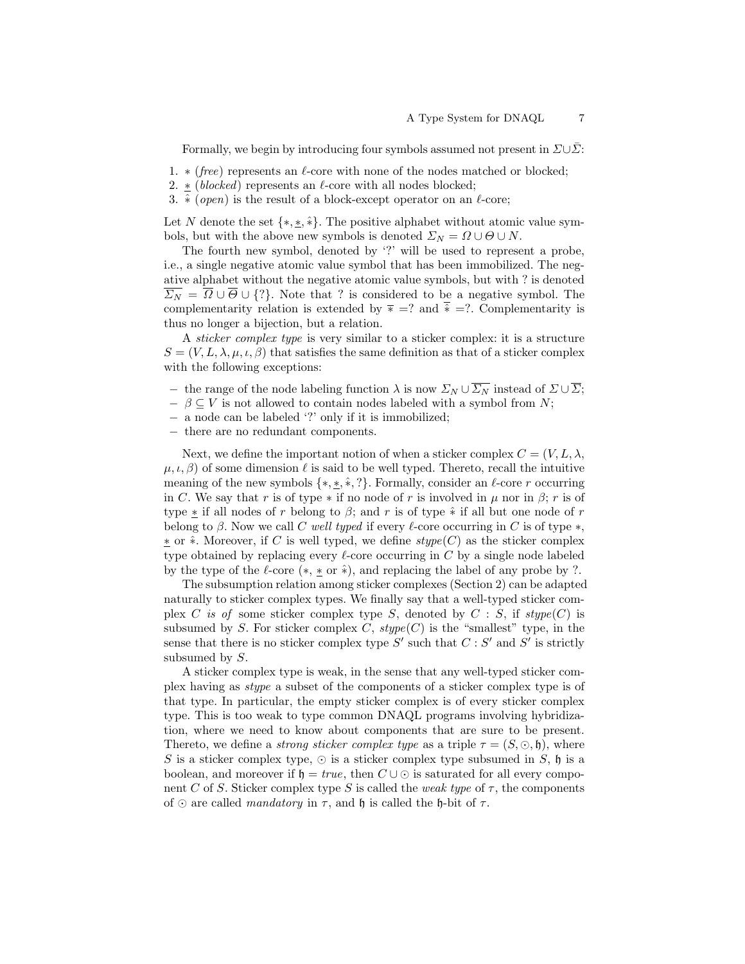Formally, we begin by introducing four symbols assumed not present in  $\Sigma \cup \Sigma$ :

- 1.  $\ast$  (free) represents an  $\ell$ -core with none of the nodes matched or blocked;
- 2. <u>\*</u> (blocked) represents an  $\ell$ -core with all nodes blocked;
- 3.  $≵ (open)$  is the result of a block-except operator on an  $\ell$ -core;

Let N denote the set  $\{*,*,\hat{*}\}\$ . The positive alphabet without atomic value symbols, but with the above new symbols is denoted  $\Sigma_N = \Omega \cup \Theta \cup N$ .

The fourth new symbol, denoted by '?' will be used to represent a probe, i.e., a single negative atomic value symbol that has been immobilized. The negative alphabet without the negative atomic value symbols, but with ? is denoted  $\overline{\Sigma_N} = \overline{\Omega} \cup \overline{\Theta} \cup \{?\}.$  Note that ? is considered to be a negative symbol. The complementarity relation is extended by  $\overline{\ast}$  =? and  $\overline{\hat{\ast}}$  =?. Complementarity is thus no longer a bijection, but a relation.

A sticker complex type is very similar to a sticker complex: it is a structure  $S = (V, L, \lambda, \mu, \iota, \beta)$  that satisfies the same definition as that of a sticker complex with the following exceptions:

- − the range of the node labeling function  $\lambda$  is now  $\Sigma_N \cup \overline{\Sigma_N}$  instead of  $\Sigma \cup \overline{\Sigma}$ ;
- $\beta \subset V$  is not allowed to contain nodes labeled with a symbol from N;
- − a node can be labeled '?' only if it is immobilized;
- − there are no redundant components.

Next, we define the important notion of when a sticker complex C = (V, L, λ,  $\mu, \iota, \beta$  of some dimension  $\ell$  is said to be well typed. Thereto, recall the intuitive meaning of the new symbols  $\{*,*,*,?\}$ . Formally, consider an  $\ell$ -core r occurring in C. We say that r is of type  $*$  if no node of r is involved in  $\mu$  nor in  $\beta$ ; r is of type  $\ast$  if all nodes of r belong to  $\beta$ ; and r is of type  $\ast$  if all but one node of r belong to β. Now we call C well typed if every  $\ell$ -core occurring in C is of type  $*,$  $∗$  or  $\hat{∗}$ . Moreover, if C is well typed, we define  $style(C)$  as the sticker complex type obtained by replacing every  $\ell$ -core occurring in C by a single node labeled by the type of the  $\ell$ -core  $(*, * \text{ or } *),$  and replacing the label of any probe by ?.

The subsumption relation among sticker complexes (Section 2) can be adapted naturally to sticker complex types. We finally say that a well-typed sticker complex C is of some sticker complex type S, denoted by  $C : S$ , if  $style(C)$  is subsumed by S. For sticker complex C,  $style(C)$  is the "smallest" type, in the sense that there is no sticker complex type  $S'$  such that  $C : S'$  and  $S'$  is strictly subsumed by S.

A sticker complex type is weak, in the sense that any well-typed sticker complex having as stype a subset of the components of a sticker complex type is of that type. In particular, the empty sticker complex is of every sticker complex type. This is too weak to type common DNAQL programs involving hybridization, where we need to know about components that are sure to be present. Thereto, we define a *strong sticker complex type* as a triple  $\tau = (S, \odot, \mathfrak{h})$ , where S is a sticker complex type,  $\odot$  is a sticker complex type subsumed in S, h is a boolean, and moreover if  $\mathfrak{h} = true$ , then  $C \cup \odot$  is saturated for all every component C of S. Sticker complex type S is called the weak type of  $\tau$ , the components of  $\odot$  are called *mandatory* in  $\tau$ , and  $\mathfrak h$  is called the  $\mathfrak h$ -bit of  $\tau$ .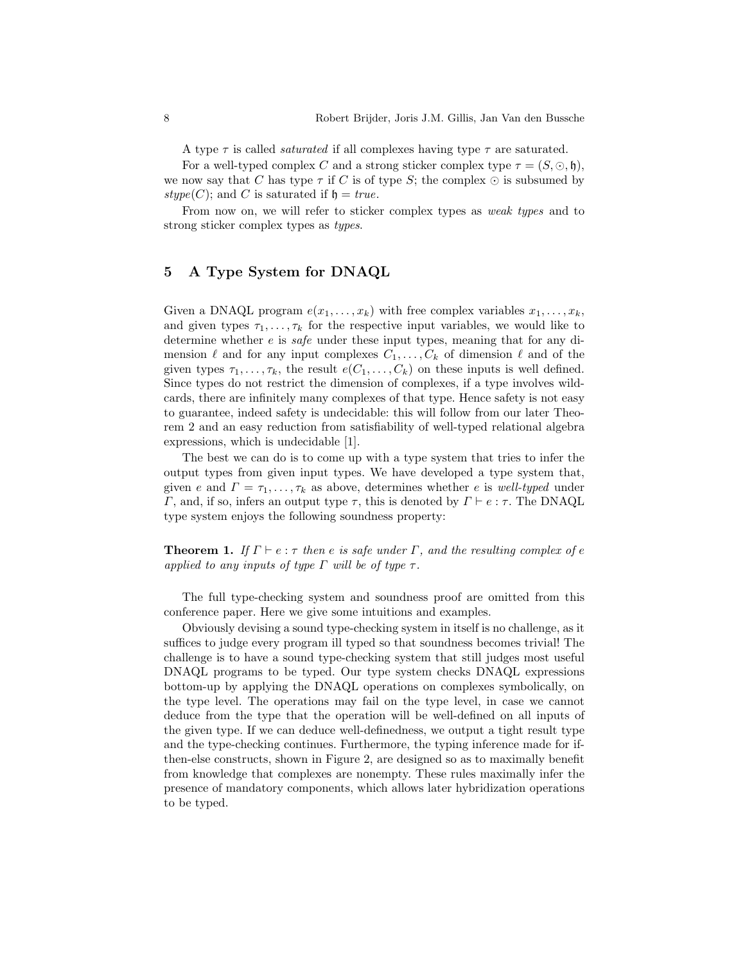A type  $\tau$  is called *saturated* if all complexes having type  $\tau$  are saturated.

For a well-typed complex C and a strong sticker complex type  $\tau = (S, \odot, \mathfrak{h}),$ we now say that C has type  $\tau$  if C is of type S; the complex  $\odot$  is subsumed by stype(C); and C is saturated if  $\mathfrak{h} = true$ .

From now on, we will refer to sticker complex types as weak types and to strong sticker complex types as types.

### 5 A Type System for DNAQL

Given a DNAQL program  $e(x_1, \ldots, x_k)$  with free complex variables  $x_1, \ldots, x_k$ , and given types  $\tau_1, \ldots, \tau_k$  for the respective input variables, we would like to determine whether e is safe under these input types, meaning that for any dimension  $\ell$  and for any input complexes  $C_1, \ldots, C_k$  of dimension  $\ell$  and of the given types  $\tau_1, \ldots, \tau_k$ , the result  $e(C_1, \ldots, C_k)$  on these inputs is well defined. Since types do not restrict the dimension of complexes, if a type involves wildcards, there are infinitely many complexes of that type. Hence safety is not easy to guarantee, indeed safety is undecidable: this will follow from our later Theorem 2 and an easy reduction from satisfiability of well-typed relational algebra expressions, which is undecidable [1].

The best we can do is to come up with a type system that tries to infer the output types from given input types. We have developed a type system that, given e and  $\Gamma = \tau_1, \ldots, \tau_k$  as above, determines whether e is well-typed under Γ, and, if so, infers an output type  $τ$ , this is denoted by  $Γ ⊢ ε : τ$ . The DNAQL type system enjoys the following soundness property:

**Theorem 1.** If  $\Gamma \vdash e : \tau$  then e is safe under  $\Gamma$ , and the resulting complex of e applied to any inputs of type  $\Gamma$  will be of type  $\tau$ .

The full type-checking system and soundness proof are omitted from this conference paper. Here we give some intuitions and examples.

Obviously devising a sound type-checking system in itself is no challenge, as it suffices to judge every program ill typed so that soundness becomes trivial! The challenge is to have a sound type-checking system that still judges most useful DNAQL programs to be typed. Our type system checks DNAQL expressions bottom-up by applying the DNAQL operations on complexes symbolically, on the type level. The operations may fail on the type level, in case we cannot deduce from the type that the operation will be well-defined on all inputs of the given type. If we can deduce well-definedness, we output a tight result type and the type-checking continues. Furthermore, the typing inference made for ifthen-else constructs, shown in Figure 2, are designed so as to maximally benefit from knowledge that complexes are nonempty. These rules maximally infer the presence of mandatory components, which allows later hybridization operations to be typed.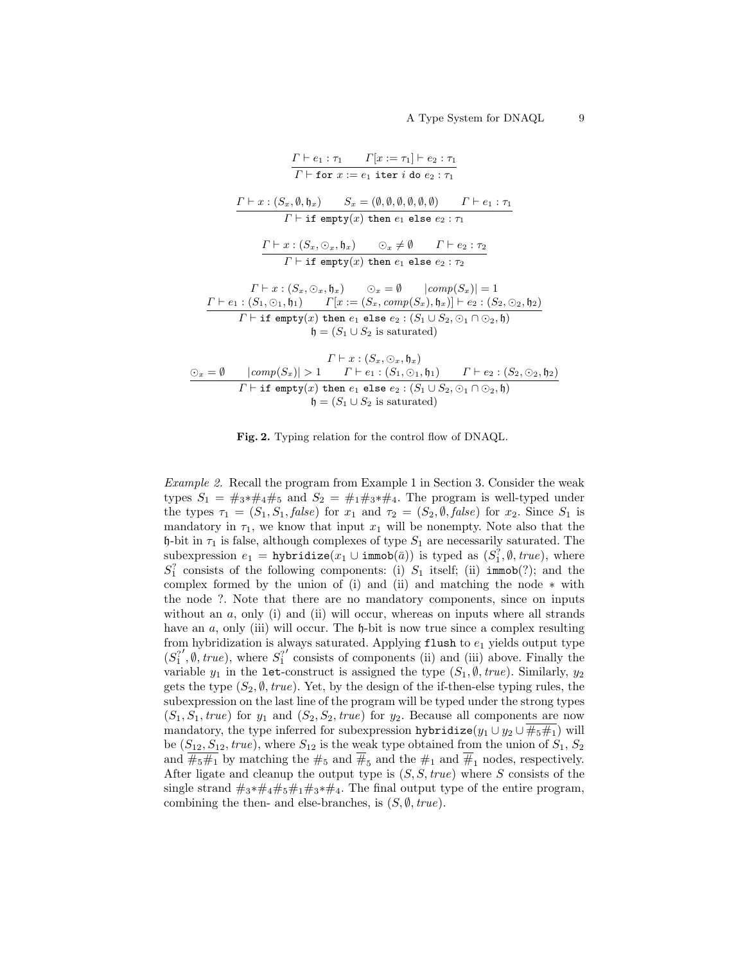$$
\frac{\Gamma \vdash e_1 : \tau_1 \qquad \Gamma[x := \tau_1] \vdash e_2 : \tau_1}{\Gamma \vdash \text{for } x := e_1 \text{ iter } i \text{ do } e_2 : \tau_1}
$$
\n
$$
\frac{\Gamma \vdash x : (S_x, \emptyset, \mathfrak{h}_x) \qquad S_x = (\emptyset, \emptyset, \emptyset, \emptyset, \emptyset) \qquad \Gamma \vdash e_1 : \tau_1}{\Gamma \vdash \text{impty}(x) \text{ then } e_1 \text{ else } e_2 : \tau_1}
$$
\n
$$
\frac{\Gamma \vdash x : (S_x, \bigcirc_x, \mathfrak{h}_x) \qquad \bigcirc_x \neq \emptyset \qquad \Gamma \vdash e_2 : \tau_2}{\Gamma \vdash \text{if } \text{empty}(x) \text{ then } e_1 \text{ else } e_2 : \tau_2}
$$
\n
$$
\frac{\Gamma \vdash x : (S_x, \bigcirc_x, \mathfrak{h}_x) \qquad \bigcirc_x = \emptyset \qquad |comp(S_x)| = 1}{\Gamma \vdash e_1 : (S_1, \bigcirc_1, \mathfrak{h}_1) \qquad \Gamma[x := (S_x, comp(S_x), \mathfrak{h}_x)] \vdash e_2 : (S_2, \bigcirc_2, \mathfrak{h}_2)}
$$
\n
$$
\Gamma \vdash \text{if } \text{empty}(x) \text{ then } e_1 \text{ else } e_2 : (S_1 \cup S_2, \bigcirc_1 \cap \bigcirc_2, \mathfrak{h})
$$
\n
$$
\mathfrak{h} = (S_1 \cup S_2 \text{ is saturated})
$$
\n
$$
\frac{\bigcirc_x = \emptyset \qquad |comp(S_x)| > 1 \qquad \Gamma \vdash e_1 : (S_1, \bigcirc_1, \mathfrak{h}_1) \qquad \Gamma \vdash e_2 : (S_2, \bigcirc_2, \mathfrak{h}_2)}{\Gamma \vdash \text{if } \text{empty}(x) \text{ then } e_1 \text{ else } e_2 : (S_1 \cup S_2, \bigcirc_1 \cap \bigcirc_2, \mathfrak{h})}
$$
\n
$$
\mathfrak{h} = (S_1 \cup S_2 \text{ is saturated})
$$

Fig. 2. Typing relation for the control flow of DNAQL.

Example 2. Recall the program from Example 1 in Section 3. Consider the weak types  $S_1 = \#_3 * \#_4 \#_5$  and  $S_2 = \#_1 \#_3 * \#_4$ . The program is well-typed under the types  $\tau_1 = (S_1, S_1, false)$  for  $x_1$  and  $\tau_2 = (S_2, \emptyset, false)$  for  $x_2$ . Since  $S_1$  is mandatory in  $\tau_1$ , we know that input  $x_1$  will be nonempty. Note also that the h-bit in  $\tau_1$  is false, although complexes of type  $S_1$  are necessarily saturated. The subexpression  $e_1 = \text{hybridize}(x_1 \cup \text{immob}(\bar{a}))$  is typed as  $(S_1^?, \emptyset, true),$  where  $S_1^?$  consists of the following components: (i)  $S_1$  itself; (ii) immob(?); and the complex formed by the union of  $(i)$  and  $(ii)$  and matching the node  $*$  with the node ?. Note that there are no mandatory components, since on inputs without an  $a$ , only (i) and (ii) will occur, whereas on inputs where all strands have an  $a$ , only (iii) will occur. The  $\mathfrak h$ -bit is now true since a complex resulting from hybridization is always saturated. Applying flush to  $e_1$  yields output type  $(S_1^?$  $\hat{\theta}, \text{true}, \text{where } S_1^2$  $\alpha$  consists of components (ii) and (iii) above. Finally the variable  $y_1$  in the let-construct is assigned the type  $(S_1, \emptyset, true)$ . Similarly,  $y_2$ gets the type  $(S_2, \emptyset, true)$ . Yet, by the design of the if-then-else typing rules, the subexpression on the last line of the program will be typed under the strong types  $(S_1, S_1, true)$  for  $y_1$  and  $(S_2, S_2, true)$  for  $y_2$ . Because all components are now mandatory, the type inferred for subexpression hybridize( $y_1 \cup y_2 \cup \overline{\#_5\#_1}$ ) will be  $(S_{12}, S_{12}, true)$ , where  $S_{12}$  is the weak type obtained from the union of  $S_1, S_2$ and  $\overline{\#}_5 \overline{\#}_1$  by matching the  $\#_5$  and  $\overline{\#}_5$  and the  $\#_1$  and  $\overline{\#}_1$  nodes, respectively. After ligate and cleanup the output type is  $(S, S, true)$  where S consists of the single strand  $\#_3 * \#_4 \#_5 \#_1 \#_3 * \#_4$ . The final output type of the entire program, combining the then- and else-branches, is  $(S, \emptyset, true)$ .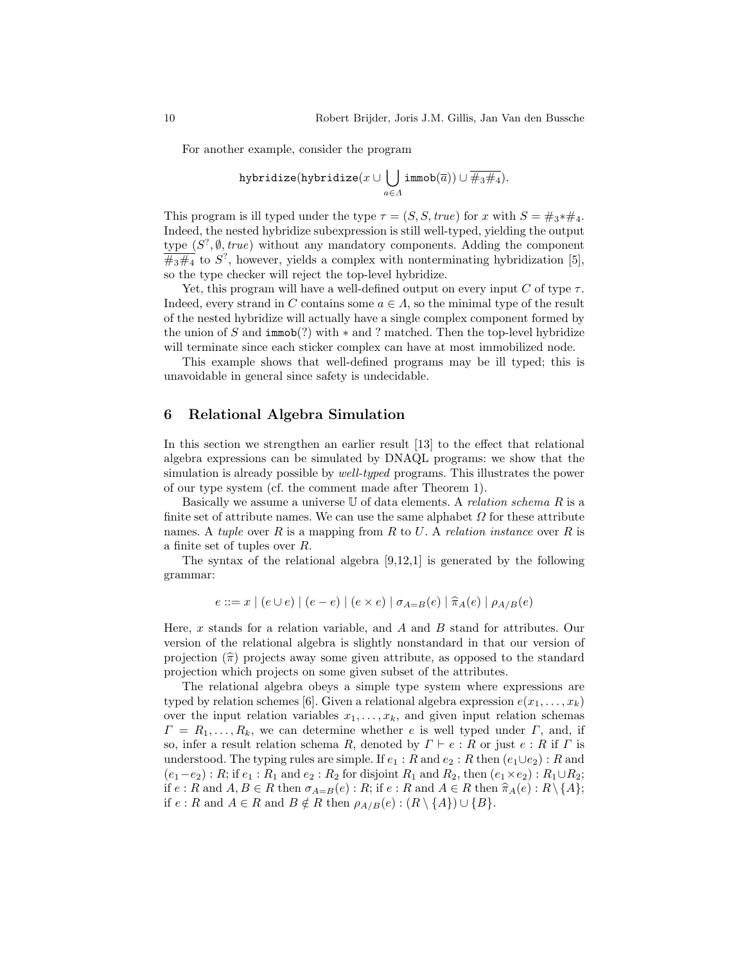For another example, consider the program

$$
\texttt{hybridize}(\texttt{hybridize}(x \cup \bigcup_{a \in A} \texttt{immob}(\overline{a})) \cup \overline{\#_3\#_4}).
$$

This program is ill typed under the type  $\tau = (S, S, true)$  for x with  $S = \#_3 * \#_4$ . Indeed, the nested hybridize subexpression is still well-typed, yielding the output type  $(S^2, \emptyset, true)$  without any mandatory components. Adding the component  $\overline{4}3\overline{4}4$  to  $S^?$ , however, yields a complex with nonterminating hybridization [5], so the type checker will reject the top-level hybridize.

Yet, this program will have a well-defined output on every input C of type  $\tau$ . Indeed, every strand in C contains some  $a \in A$ , so the minimal type of the result of the nested hybridize will actually have a single complex component formed by the union of S and  $\text{immod}(?)$  with  $*$  and ? matched. Then the top-level hybridize will terminate since each sticker complex can have at most immobilized node.

This example shows that well-defined programs may be ill typed; this is unavoidable in general since safety is undecidable.

## 6 Relational Algebra Simulation

In this section we strengthen an earlier result [13] to the effect that relational algebra expressions can be simulated by DNAQL programs: we show that the simulation is already possible by *well-typed* programs. This illustrates the power of our type system (cf. the comment made after Theorem 1).

Basically we assume a universe  $U$  of data elements. A *relation schema*  $R$  is a finite set of attribute names. We can use the same alphabet  $\Omega$  for these attribute names. A tuple over R is a mapping from R to U. A relation instance over R is a finite set of tuples over R.

The syntax of the relational algebra [9,12,1] is generated by the following grammar:

$$
e ::= x | (e \cup e) | (e - e) | (e \times e) | \sigma_{A=B}(e) | \hat{\pi}_A(e) | \rho_{A/B}(e)
$$

Here,  $x$  stands for a relation variable, and  $A$  and  $B$  stand for attributes. Our version of the relational algebra is slightly nonstandard in that our version of projection  $(\hat{\pi})$  projects away some given attribute, as opposed to the standard projection which projects on some given subset of the attributes.

The relational algebra obeys a simple type system where expressions are typed by relation schemes [6]. Given a relational algebra expression  $e(x_1, \ldots, x_k)$ over the input relation variables  $x_1, \ldots, x_k$ , and given input relation schemas  $\Gamma = R_1, \ldots, R_k$ , we can determine whether e is well typed under  $\Gamma$ , and, if so, infer a result relation schema R, denoted by  $\Gamma \vdash e : R$  or just  $e : R$  if  $\Gamma$  is understood. The typing rules are simple. If  $e_1 : R$  and  $e_2 : R$  then  $(e_1 \cup e_2) : R$  and  $(e_1-e_2)$ : R; if  $e_1$ :  $R_1$  and  $e_2$ :  $R_2$  for disjoint  $R_1$  and  $R_2$ , then  $(e_1 \times e_2)$ :  $R_1 \cup R_2$ ; if  $e : R$  and  $A, B \in R$  then  $\sigma_{A=B}(e) : R$ ; if  $e : R$  and  $A \in R$  then  $\hat{\pi}_A(e) : R \setminus \{A\}$ ; if  $e : R$  and  $A \in R$  and  $B \notin R$  then  $\rho_{A/B}(e) : (R \setminus \{A\}) \cup \{B\}.$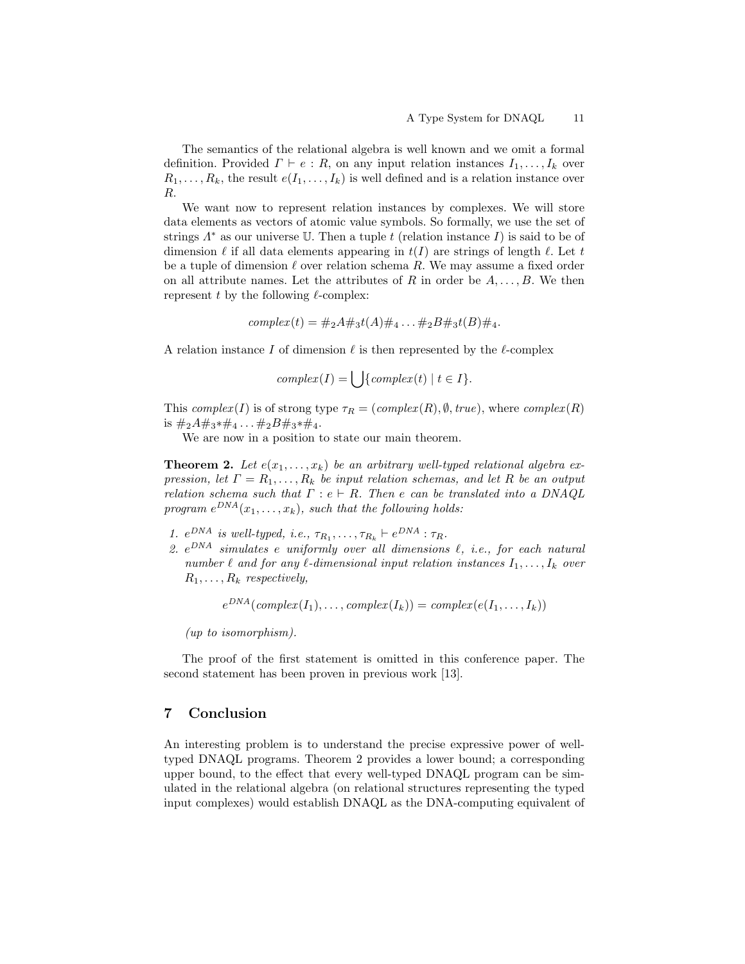The semantics of the relational algebra is well known and we omit a formal definition. Provided  $\Gamma \vdash e : R$ , on any input relation instances  $I_1, \ldots, I_k$  over  $R_1, \ldots, R_k$ , the result  $e(I_1, \ldots, I_k)$  is well defined and is a relation instance over R.

We want now to represent relation instances by complexes. We will store data elements as vectors of atomic value symbols. So formally, we use the set of strings  $\Lambda^*$  as our universe U. Then a tuple t (relation instance I) is said to be of dimension  $\ell$  if all data elements appearing in  $t(I)$  are strings of length  $\ell$ . Let t be a tuple of dimension  $\ell$  over relation schema R. We may assume a fixed order on all attribute names. Let the attributes of R in order be  $A, \ldots, B$ . We then represent t by the following  $\ell$ -complex:

$$
complex(t) = \#_2A\#_3t(A)\#_4 \dots \#_2B\#_3t(B)\#_4.
$$

A relation instance I of dimension  $\ell$  is then represented by the  $\ell$ -complex

$$
complex(I) = \bigcup \{complex(t) \mid t \in I\}.
$$

This complex(I) is of strong type  $\tau_R = (complex(R), \emptyset, true)$ , where complex(R) is  $\#_2A\#_3*\#_4\ldots\#_2B\#_3*\#_4.$ 

We are now in a position to state our main theorem.

**Theorem 2.** Let  $e(x_1, \ldots, x_k)$  be an arbitrary well-typed relational algebra expression, let  $\Gamma = R_1, \ldots, R_k$  be input relation schemas, and let R be an output relation schema such that  $\Gamma : e \vdash R$ . Then e can be translated into a DNAQL program  $e^{DNA}(x_1, \ldots, x_k)$ , such that the following holds:

1.  $e^{DNA}$  is well-typed, i.e.,  $\tau_{R_1}, \ldots, \tau_{R_k} \vdash e^{DNA} : \tau_R$ .

2.  $e^{DNA}$  simulates e uniformly over all dimensions  $\ell$ , i.e., for each natural number  $\ell$  and for any  $\ell$ -dimensional input relation instances  $I_1, \ldots, I_k$  over  $R_1, \ldots, R_k$  respectively,

$$
e^{DNA}(complex(I_1),...,complex(I_k)) = complex(e(I_1,...,I_k))
$$

(up to isomorphism).

The proof of the first statement is omitted in this conference paper. The second statement has been proven in previous work [13].

### 7 Conclusion

An interesting problem is to understand the precise expressive power of welltyped DNAQL programs. Theorem 2 provides a lower bound; a corresponding upper bound, to the effect that every well-typed DNAQL program can be simulated in the relational algebra (on relational structures representing the typed input complexes) would establish DNAQL as the DNA-computing equivalent of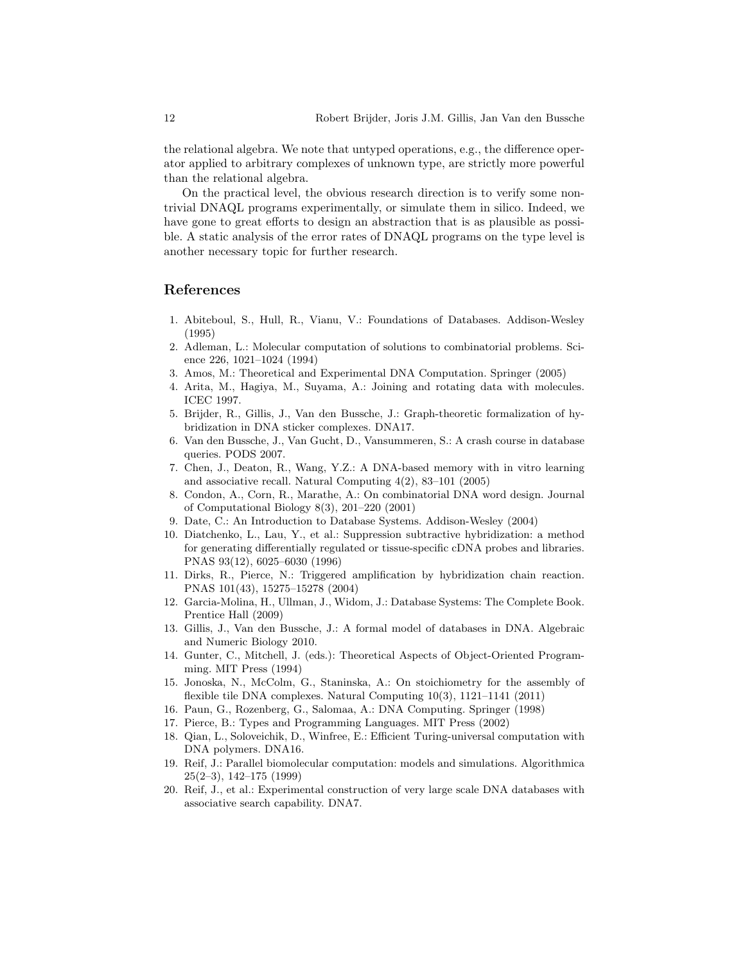the relational algebra. We note that untyped operations, e.g., the difference operator applied to arbitrary complexes of unknown type, are strictly more powerful than the relational algebra.

On the practical level, the obvious research direction is to verify some nontrivial DNAQL programs experimentally, or simulate them in silico. Indeed, we have gone to great efforts to design an abstraction that is as plausible as possible. A static analysis of the error rates of DNAQL programs on the type level is another necessary topic for further research.

### References

- 1. Abiteboul, S., Hull, R., Vianu, V.: Foundations of Databases. Addison-Wesley (1995)
- 2. Adleman, L.: Molecular computation of solutions to combinatorial problems. Science 226, 1021–1024 (1994)
- 3. Amos, M.: Theoretical and Experimental DNA Computation. Springer (2005)
- 4. Arita, M., Hagiya, M., Suyama, A.: Joining and rotating data with molecules. ICEC 1997.
- 5. Brijder, R., Gillis, J., Van den Bussche, J.: Graph-theoretic formalization of hybridization in DNA sticker complexes. DNA17.
- 6. Van den Bussche, J., Van Gucht, D., Vansummeren, S.: A crash course in database queries. PODS 2007.
- 7. Chen, J., Deaton, R., Wang, Y.Z.: A DNA-based memory with in vitro learning and associative recall. Natural Computing 4(2), 83–101 (2005)
- 8. Condon, A., Corn, R., Marathe, A.: On combinatorial DNA word design. Journal of Computational Biology 8(3), 201–220 (2001)
- 9. Date, C.: An Introduction to Database Systems. Addison-Wesley (2004)
- 10. Diatchenko, L., Lau, Y., et al.: Suppression subtractive hybridization: a method for generating differentially regulated or tissue-specific cDNA probes and libraries. PNAS 93(12), 6025–6030 (1996)
- 11. Dirks, R., Pierce, N.: Triggered amplification by hybridization chain reaction. PNAS 101(43), 15275–15278 (2004)
- 12. Garcia-Molina, H., Ullman, J., Widom, J.: Database Systems: The Complete Book. Prentice Hall (2009)
- 13. Gillis, J., Van den Bussche, J.: A formal model of databases in DNA. Algebraic and Numeric Biology 2010.
- 14. Gunter, C., Mitchell, J. (eds.): Theoretical Aspects of Object-Oriented Programming. MIT Press (1994)
- 15. Jonoska, N., McColm, G., Staninska, A.: On stoichiometry for the assembly of flexible tile DNA complexes. Natural Computing 10(3), 1121–1141 (2011)
- 16. Paun, G., Rozenberg, G., Salomaa, A.: DNA Computing. Springer (1998)
- 17. Pierce, B.: Types and Programming Languages. MIT Press (2002)
- 18. Qian, L., Soloveichik, D., Winfree, E.: Efficient Turing-universal computation with DNA polymers. DNA16.
- 19. Reif, J.: Parallel biomolecular computation: models and simulations. Algorithmica 25(2–3), 142–175 (1999)
- 20. Reif, J., et al.: Experimental construction of very large scale DNA databases with associative search capability. DNA7.